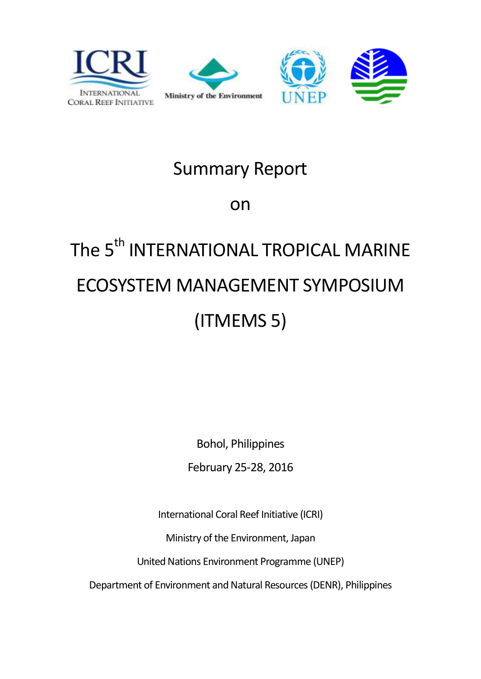





## Summary Report

on

# The 5<sup>th</sup> INTERNATIONAL TROPICAL MARINE ECOSYSTEM MANAGEMENT SYMPOSIUM (ITMEMS 5)

Bohol, Philippines

February 25-28, 2016

International Coral Reef Initiative (ICRI)

Ministry of the Environment, Japan

United Nations Environment Programme (UNEP)

Department of Environment and Natural Resources (DENR), Philippines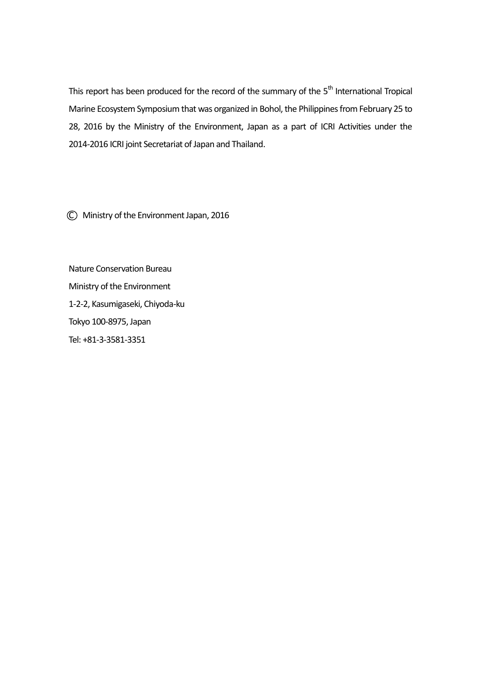This report has been produced for the record of the summary of the  $5<sup>th</sup>$  International Tropical Marine Ecosystem Symposium that was organized in Bohol, the Philippines from February 25 to 28, 2016 by the Ministry of the Environment, Japan as a part of ICRI Activities under the 2014-2016 ICRI joint Secretariat of Japan and Thailand.

C Ministry of the Environment Japan, 2016

Nature Conservation Bureau Ministry of the Environment 1-2-2, Kasumigaseki, Chiyoda-ku Tokyo 100-8975, Japan Tel: +81-3-3581-3351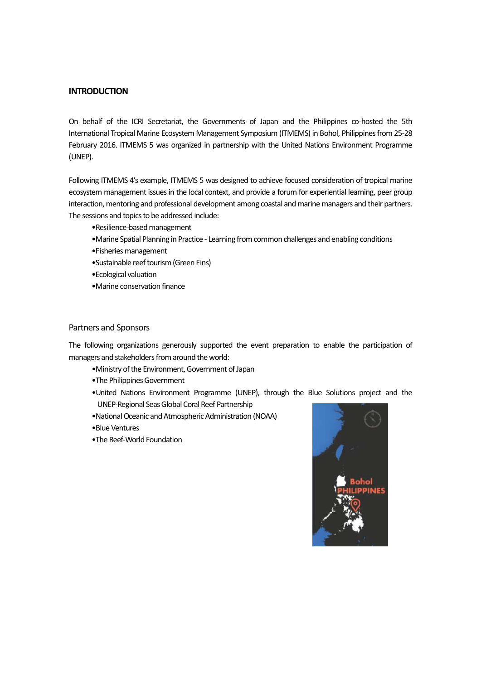#### **INTRODUCTION**

On behalf of the ICRI Secretariat, the Governments of Japan and the Philippines co-hosted the 5th International Tropical Marine Ecosystem Management Symposium (ITMEMS) in Bohol, Philippines from 25-28 February 2016. ITMEMS 5 was organized in partnership with the United Nations Environment Programme (UNEP).

Following ITMEMS 4's example, ITMEMS 5 was designed to achieve focused consideration of tropical marine ecosystem management issues in the local context, and provide a forum for experiential learning, peer group interaction, mentoring and professional development among coastal and marine managers and their partners. The sessions and topics to be addressed include:

- •Resilience-based management
- •Marine Spatial Planning in Practice Learning from common challenges and enabling conditions
- •Fisheries management
- •Sustainable reef tourism (Green Fins)
- •Ecological valuation
- •Marine conservation finance

#### Partners and Sponsors

The following organizations generously supported the event preparation to enable the participation of managers and stakeholders from around the world:

- •Ministry of the Environment, Government of Japan
- •The Philippines Government
- •United Nations Environment Programme (UNEP), through the Blue Solutions project and the UNEP-Regional Seas Global Coral Reef Partnership
- •National Oceanic and Atmospheric Administration (NOAA)
- •Blue Ventures
- •The Reef-World Foundation

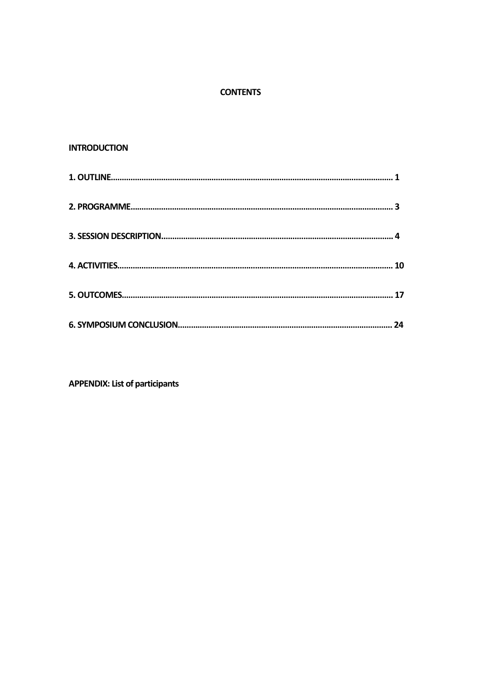#### **CONTENTS**

#### **INTRODUCTION**

| 24 |
|----|

**APPENDIX: List of participants**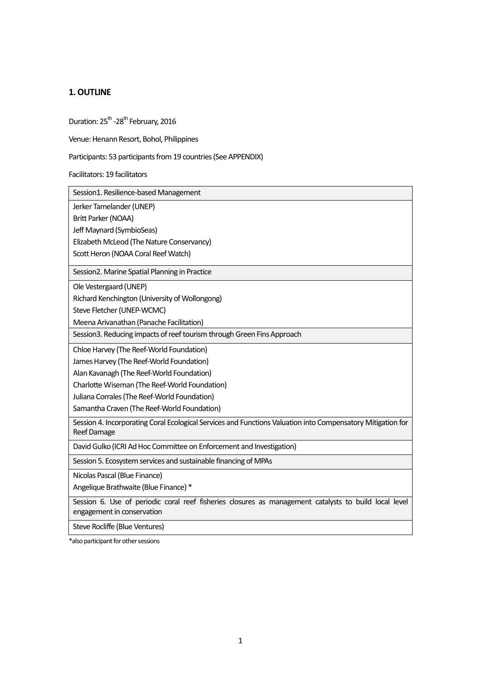#### **1. OUTLINE**

Duration: 25<sup>th</sup> -28<sup>th</sup> February, 2016

Venue: Henann Resort, Bohol, Philippines

Participants: 53 participants from 19 countries(See APPENDIX)

Facilitators: 19 facilitators

| Session1. Resilience-based Management                                                                                               |
|-------------------------------------------------------------------------------------------------------------------------------------|
| Jerker Tamelander (UNEP)                                                                                                            |
| Britt Parker (NOAA)                                                                                                                 |
| Jeff Maynard (SymbioSeas)                                                                                                           |
| Elizabeth McLeod (The Nature Conservancy)                                                                                           |
| Scott Heron (NOAA Coral Reef Watch)                                                                                                 |
| Session2. Marine Spatial Planning in Practice                                                                                       |
| Ole Vestergaard (UNEP)                                                                                                              |
| Richard Kenchington (University of Wollongong)                                                                                      |
| Steve Fletcher (UNEP-WCMC)                                                                                                          |
| Meena Arivanathan (Panache Facilitation)                                                                                            |
| Session3. Reducing impacts of reef tourism through Green Fins Approach                                                              |
| Chloe Harvey (The Reef-World Foundation)                                                                                            |
| James Harvey (The Reef-World Foundation)                                                                                            |
| Alan Kavanagh (The Reef-World Foundation)                                                                                           |
| Charlotte Wiseman (The Reef-World Foundation)                                                                                       |
| Juliana Corrales (The Reef-World Foundation)                                                                                        |
| Samantha Craven (The Reef-World Foundation)                                                                                         |
| Session 4. Incorporating Coral Ecological Services and Functions Valuation into Compensatory Mitigation for<br>Reef Damage          |
| David Gulko (ICRI Ad Hoc Committee on Enforcement and Investigation)                                                                |
| Session 5. Ecosystem services and sustainable financing of MPAs                                                                     |
| Nicolas Pascal (Blue Finance)                                                                                                       |
| Angelique Brathwaite (Blue Finance) *                                                                                               |
| Session 6. Use of periodic coral reef fisheries closures as management catalysts to build local level<br>engagement in conservation |
| Steve Rocliffe (Blue Ventures)                                                                                                      |

\*also participant for other sessions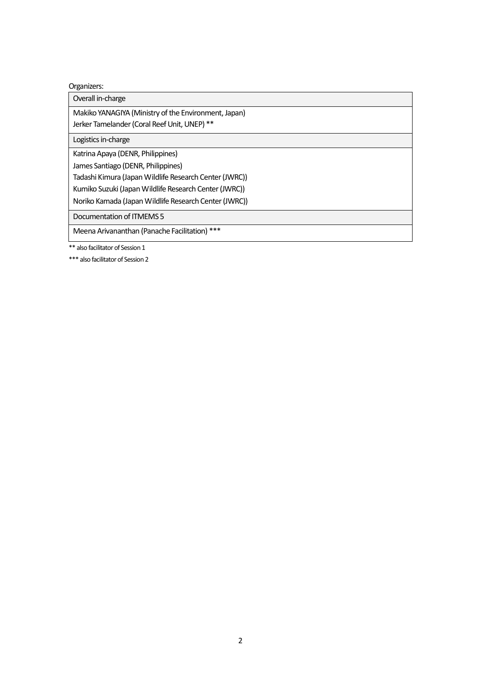#### Organizers:

Overall in-charge

Makiko YANAGIYA (Ministry of the Environment, Japan) Jerker Tamelander (Coral Reef Unit, UNEP) \*\*

Logistics in-charge

Katrina Apaya (DENR, Philippines)

James Santiago (DENR, Philippines)

Tadashi Kimura (Japan Wildlife Research Center (JWRC))

Kumiko Suzuki(Japan Wildlife Research Center (JWRC))

Noriko Kamada (Japan Wildlife Research Center (JWRC))

Documentation of ITMEMS 5

Meena Arivananthan (Panache Facilitation) \*\*\*

\*\* also facilitator of Session 1

\*\*\* also facilitator of Session 2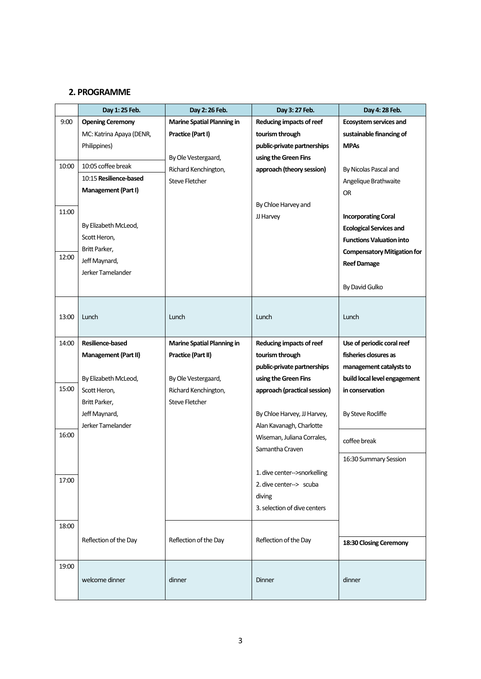#### **2. PROGRAMME**

|       | Day 1: 25 Feb.           | Day 2: 26 Feb.                    | Day 3: 27 Feb.               | Day 4: 28 Feb.                     |
|-------|--------------------------|-----------------------------------|------------------------------|------------------------------------|
| 9:00  | <b>Opening Ceremony</b>  | <b>Marine Spatial Planning in</b> | Reducing impacts of reef     | Ecosystem services and             |
|       | MC: Katrina Apaya (DENR, | Practice (Part I)                 | tourism through              | sustainable financing of           |
|       | Philippines)             |                                   | public-private partnerships  | <b>MPAs</b>                        |
|       |                          | By Ole Vestergaard,               | using the Green Fins         |                                    |
| 10:00 | 10:05 coffee break       | Richard Kenchington,              | approach (theory session)    | By Nicolas Pascal and              |
|       | 10:15 Resilience-based   | <b>Steve Fletcher</b>             |                              | Angelique Brathwaite               |
|       | Management (Part I)      |                                   |                              | <b>OR</b>                          |
|       |                          |                                   | By Chloe Harvey and          |                                    |
| 11:00 |                          |                                   | JJ Harvey                    | <b>Incorporating Coral</b>         |
|       | By Elizabeth McLeod,     |                                   |                              | <b>Ecological Services and</b>     |
|       | Scott Heron,             |                                   |                              | <b>Functions Valuation into</b>    |
| 12:00 | Britt Parker,            |                                   |                              | <b>Compensatory Mitigation for</b> |
|       | Jeff Maynard,            |                                   |                              | <b>Reef Damage</b>                 |
|       | Jerker Tamelander        |                                   |                              |                                    |
|       |                          |                                   |                              | By David Gulko                     |
|       |                          |                                   |                              |                                    |
| 13:00 | Lunch                    | Lunch                             | Lunch                        | Lunch                              |
|       |                          |                                   |                              |                                    |
| 14:00 | Resilience-based         | <b>Marine Spatial Planning in</b> | Reducing impacts of reef     | Use of periodic coral reef         |
|       | Management (Part II)     | Practice (Part II)                | tourism through              | fisheries closures as              |
|       |                          |                                   | public-private partnerships  | management catalysts to            |
|       | By Elizabeth McLeod,     | By Ole Vestergaard,               | using the Green Fins         | build local level engagement       |
| 15:00 | Scott Heron,             | Richard Kenchington,              | approach (practical session) | in conservation                    |
|       | Britt Parker,            | <b>Steve Fletcher</b>             |                              |                                    |
|       | Jeff Maynard,            |                                   | By Chloe Harvey, JJ Harvey,  | By Steve Rocliffe                  |
|       | Jerker Tamelander        |                                   | Alan Kavanagh, Charlotte     |                                    |
| 16:00 |                          |                                   | Wiseman, Juliana Corrales,   | coffee break                       |
|       |                          |                                   | Samantha Craven              |                                    |
|       |                          |                                   |                              | 16:30 Summary Session              |
| 17:00 |                          |                                   | 1. dive center-->snorkelling |                                    |
|       |                          |                                   | 2. dive center--> scuba      |                                    |
|       |                          |                                   | diving                       |                                    |
|       |                          |                                   | 3. selection of dive centers |                                    |
| 18:00 |                          |                                   |                              |                                    |
|       | Reflection of the Day    | Reflection of the Day             | Reflection of the Day        |                                    |
|       |                          |                                   |                              | 18:30 Closing Ceremony             |
| 19:00 |                          |                                   |                              |                                    |
|       | welcome dinner           | dinner                            |                              |                                    |
|       |                          |                                   | Dinner                       | dinner                             |
|       |                          |                                   |                              |                                    |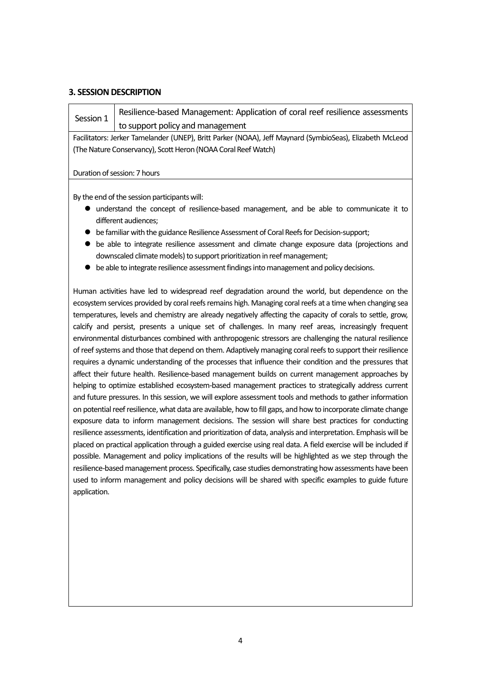#### **3. SESSION DESCRIPTION**

Session 1 Resilience-based Management: Application of coral reef resilience assessments to support policy and management

Facilitators: Jerker Tamelander (UNEP), Britt Parker (NOAA), Jeff Maynard (SymbioSeas), Elizabeth McLeod (The Nature Conservancy), Scott Heron (NOAA Coral Reef Watch)

#### Duration of session: 7 hours

By the end of the session participants will:

- understand the concept of resilience-based management, and be able to communicate it to different audiences;
- be familiar with the guidance Resilience Assessment of Coral Reefs for Decision-support;
- be able to integrate resilience assessment and climate change exposure data (projections and downscaled climate models) to support prioritization in reef management;
- be able to integrate resilience assessment findings into management and policy decisions.

Human activities have led to widespread reef degradation around the world, but dependence on the ecosystem services provided by coral reefs remains high. Managing coral reefs at a time when changing sea temperatures, levels and chemistry are already negatively affecting the capacity of corals to settle, grow, calcify and persist, presents a unique set of challenges. In many reef areas, increasingly frequent environmental disturbances combined with anthropogenic stressors are challenging the natural resilience of reef systems and those that depend on them. Adaptively managing coral reefs to support their resilience requires a dynamic understanding of the processes that influence their condition and the pressures that affect their future health. Resilience-based management builds on current management approaches by helping to optimize established ecosystem-based management practices to strategically address current and future pressures. In this session, we will explore assessment tools and methods to gather information on potential reef resilience, what data are available, how to fill gaps, and how to incorporate climate change exposure data to inform management decisions. The session will share best practices for conducting resilience assessments, identification and prioritization of data, analysis and interpretation. Emphasis will be placed on practical application through a guided exercise using real data. A field exercise will be included if possible. Management and policy implications of the results will be highlighted as we step through the resilience-based management process. Specifically, case studies demonstrating how assessments have been used to inform management and policy decisions will be shared with specific examples to guide future application.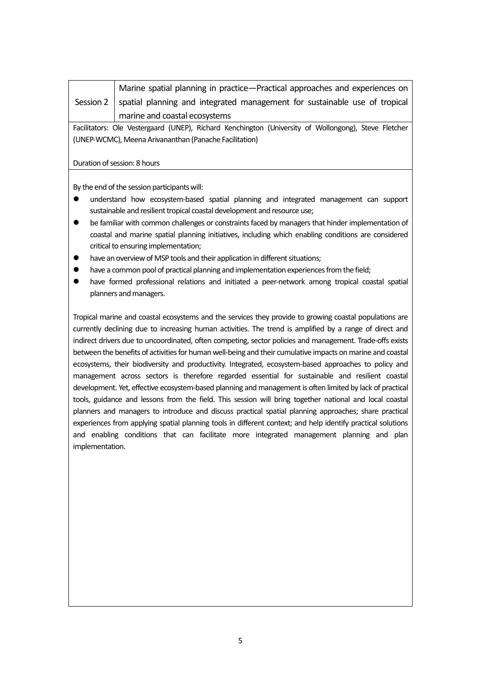Session 2 Marine spatial planning in practice—Practical approaches and experiences on spatial planning and integrated management for sustainable use of tropical marine and coastal ecosystems

Facilitators: Ole Vestergaard (UNEP), Richard Kenchington (University of Wollongong), Steve Fletcher (UNEP-WCMC), Meena Arivananthan (Panache Facilitation)

#### Duration of session: 8 hours

By the end of the session participants will:

- understand how ecosystem-based spatial planning and integrated management can support sustainable and resilient tropical coastal development and resource use;
- be familiar with common challenges or constraints faced by managers that hinder implementation of coastal and marine spatial planning initiatives, including which enabling conditions are considered critical to ensuring implementation;
- have an overview of MSP tools and their application in different situations:
- have a common pool of practical planning and implementation experiences from the field;
- have formed professional relations and initiated a peer-network among tropical coastal spatial planners and managers.

Tropical marine and coastal ecosystems and the services they provide to growing coastal populations are currently declining due to increasing human activities. The trend is amplified by a range of direct and indirect drivers due to uncoordinated, often competing, sector policies and management. Trade-offs exists between the benefits of activities for human well-being and their cumulative impacts on marine and coastal ecosystems, their biodiversity and productivity. Integrated, ecosystem-based approaches to policy and management across sectors is therefore regarded essential for sustainable and resilient coastal development. Yet, effective ecosystem-based planning and management is often limited by lack of practical tools, guidance and lessons from the field. This session will bring together national and local coastal planners and managers to introduce and discuss practical spatial planning approaches; share practical experiences from applying spatial planning tools in different context; and help identify practical solutions and enabling conditions that can facilitate more integrated management planning and plan implementation.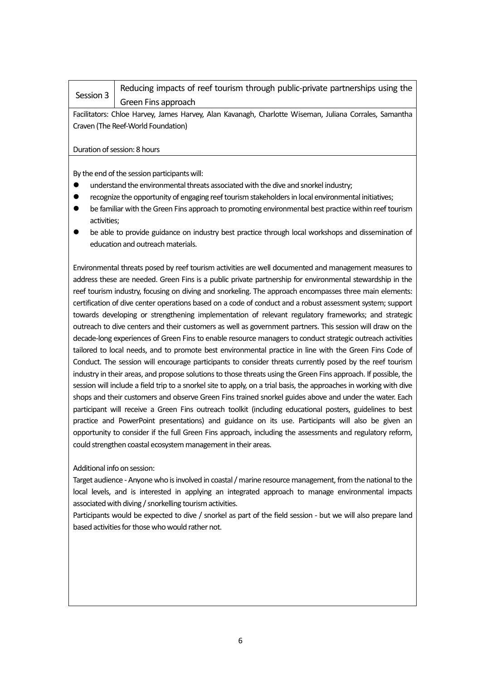## Session 3

Reducing impacts of reef tourism through public-private partnerships using the Green Fins approach

Facilitators: Chloe Harvey, James Harvey, Alan Kavanagh, Charlotte Wiseman, Juliana Corrales, Samantha Craven (The Reef-World Foundation)

#### Duration of session: 8 hours

By the end of the session participants will:

- understand the environmental threats associated with the dive and snorkel industry;
- recognize the opportunity of engaging reef tourism stakeholders in local environmental initiatives;
- be familiar with the Green Fins approach to promoting environmental best practice within reef tourism activities;
- be able to provide guidance on industry best practice through local workshops and dissemination of education and outreach materials.

Environmental threats posed by reef tourism activities are well documented and management measures to address these are needed. Green Fins is a public private partnership for environmental stewardship in the reef tourism industry, focusing on diving and snorkeling. The approach encompasses three main elements: certification of dive center operations based on a code of conduct and a robust assessment system; support towards developing or strengthening implementation of relevant regulatory frameworks; and strategic outreach to dive centers and their customers as well as government partners. This session will draw on the decade-long experiences of Green Fins to enable resource managers to conduct strategic outreach activities tailored to local needs, and to promote best environmental practice in line with the Green Fins Code of Conduct. The session will encourage participants to consider threats currently posed by the reef tourism industry in their areas, and propose solutions to those threats using the Green Fins approach. If possible, the session will include a field trip to a snorkel site to apply, on a trial basis, the approaches in working with dive shops and their customers and observe Green Fins trained snorkel guides above and under the water. Each participant will receive a Green Fins outreach toolkit (including educational posters, guidelines to best practice and PowerPoint presentations) and guidance on its use. Participants will also be given an opportunity to consider if the full Green Fins approach, including the assessments and regulatory reform, could strengthen coastal ecosystem management in their areas.

#### Additional info on session:

Target audience - Anyone who is involved in coastal / marine resource management, from the national to the local levels, and is interested in applying an integrated approach to manage environmental impacts associated with diving / snorkelling tourism activities.

Participants would be expected to dive / snorkel as part of the field session - but we will also prepare land based activities for those who would rather not.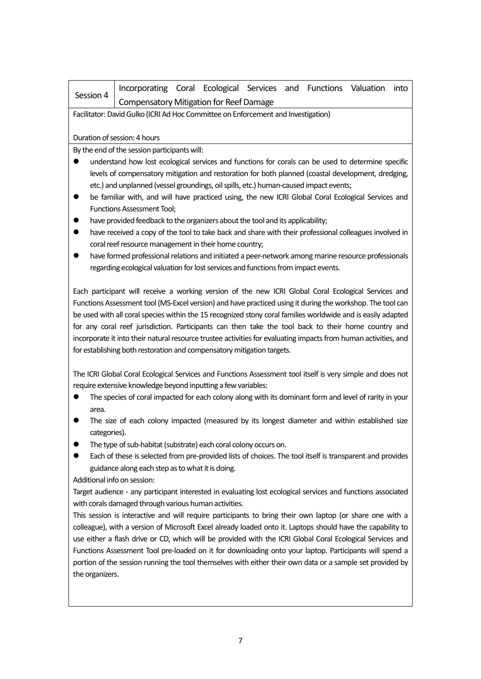| Session 4 | Incorporating Coral Ecological Services and Functions Valuation into |  |  |  |  |
|-----------|----------------------------------------------------------------------|--|--|--|--|
|           | Compensatory Mitigation for Reef Damage                              |  |  |  |  |

Facilitator: David Gulko (ICRI Ad Hoc Committee on Enforcement and Investigation)

Duration of session: 4 hours

By the end of the session participants will:

- understand how lost ecological services and functions for corals can be used to determine specific levels of compensatory mitigation and restoration for both planned (coastal development, dredging, etc.) and unplanned (vessel groundings, oil spills, etc.) human-caused impact events;
- be familiar with, and will have practiced using, the new ICRI Global Coral Ecological Services and Functions Assessment Tool;
- $\bullet$  have provided feedback to the organizers about the tool and its applicability;
- have received a copy of the tool to take back and share with their professional colleagues involved in coral reef resource management in their home country;
- have formed professional relations and initiated a peer-network among marine resource professionals regarding ecological valuation for lost services and functions from impact events.

Each participant will receive a working version of the new ICRI Global Coral Ecological Services and Functions Assessment tool (MS-Excel version) and have practiced using it during the workshop. The tool can be used with all coral species within the 15 recognized stony coral families worldwide and is easily adapted for any coral reef jurisdiction. Participants can then take the tool back to their home country and incorporate it into their natural resource trustee activities for evaluating impacts from human activities, and for establishing both restoration and compensatory mitigation targets.

The ICRI Global Coral Ecological Services and Functions Assessment tool itself is very simple and does not require extensive knowledge beyond inputting a few variables:

- The species of coral impacted for each colony along with its dominant form and level of rarity in your area.
- The size of each colony impacted (measured by its longest diameter and within established size categories).
- The type of sub-habitat (substrate) each coral colony occurs on.
- Each of these is selected from pre-provided lists of choices. The tool itself is transparent and provides guidance along each step as to what it is doing.

Additional info on session:

Target audience - any participant interested in evaluating lost ecological services and functions associated with corals damaged through various human activities.

This session is interactive and will require participants to bring their own laptop (or share one with a colleague), with a version of Microsoft Excel already loaded onto it. Laptops should have the capability to use either a flash drive or CD, which will be provided with the ICRI Global Coral Ecological Services and Functions Assessment Tool pre-loaded on it for downloading onto your laptop. Participants will spend a portion of the session running the tool themselves with either their own data or a sample set provided by the organizers.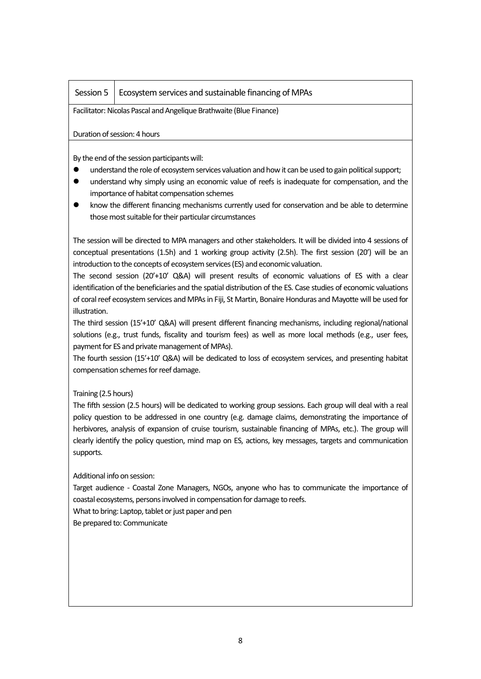#### Session  $5 \mid$  Ecosystem services and sustainable financing of MPAs

Facilitator: Nicolas Pascal and Angelique Brathwaite (Blue Finance)

Duration of session: 4 hours

By the end of the session participants will:

- understand the role of ecosystem services valuation and how it can be used to gain political support;
- understand why simply using an economic value of reefs is inadequate for compensation, and the importance of habitat compensation schemes
- know the different financing mechanisms currently used for conservation and be able to determine those most suitable for their particular circumstances

The session will be directed to MPA managers and other stakeholders. It will be divided into 4 sessions of conceptual presentations (1.5h) and 1 working group activity (2.5h). The first session (20') will be an introduction to the concepts of ecosystem services (ES) and economic valuation.

The second session (20'+10' Q&A) will present results of economic valuations of ES with a clear identification of the beneficiaries and the spatial distribution of the ES. Case studies of economic valuations of coral reef ecosystem services and MPAs in Fiji, St Martin, Bonaire Honduras and Mayotte will be used for illustration.

The third session (15'+10' Q&A) will present different financing mechanisms, including regional/national solutions (e.g., trust funds, fiscality and tourism fees) as well as more local methods (e.g., user fees, payment for ES and private management of MPAs).

The fourth session (15'+10' Q&A) will be dedicated to loss of ecosystem services, and presenting habitat compensation schemes for reef damage.

#### Training (2.5 hours)

The fifth session (2.5 hours) will be dedicated to working group sessions. Each group will deal with a real policy question to be addressed in one country (e.g. damage claims, demonstrating the importance of herbivores, analysis of expansion of cruise tourism, sustainable financing of MPAs, etc.). The group will clearly identify the policy question, mind map on ES, actions, key messages, targets and communication supports.

Additional info on session:

Target audience - Coastal Zone Managers, NGOs, anyone who has to communicate the importance of coastal ecosystems, persons involved in compensation for damage to reefs.

What to bring: Laptop, tablet or just paper and pen

Be prepared to: Communicate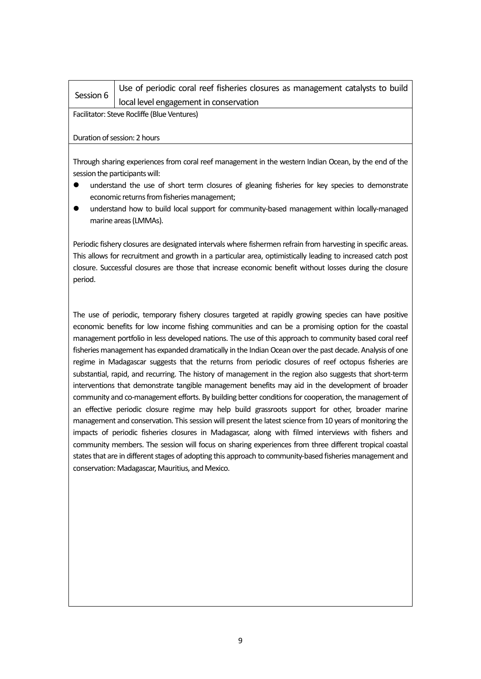| Session 6 | Use of periodic coral reef fisheries closures as management catalysts to build |
|-----------|--------------------------------------------------------------------------------|
|           | local level engagement in conservation                                         |

Facilitator: Steve Rocliffe (Blue Ventures)

#### Duration of session: 2 hours

Through sharing experiences from coral reef management in the western Indian Ocean, by the end of the session the participants will:

- understand the use of short term closures of gleaning fisheries for key species to demonstrate economic returns from fisheries management;
- understand how to build local support for community-based management within locally-managed marine areas (LMMAs).

Periodic fishery closures are designated intervals where fishermen refrain from harvesting in specific areas. This allows for recruitment and growth in a particular area, optimistically leading to increased catch post closure. Successful closures are those that increase economic benefit without losses during the closure period.

The use of periodic, temporary fishery closures targeted at rapidly growing species can have positive economic benefits for low income fishing communities and can be a promising option for the coastal management portfolio in less developed nations. The use of this approach to community based coral reef fisheries management has expanded dramatically in the Indian Ocean over the past decade. Analysis of one regime in Madagascar suggests that the returns from periodic closures of reef octopus fisheries are substantial, rapid, and recurring. The history of management in the region also suggests that short-term interventions that demonstrate tangible management benefits may aid in the development of broader community and co-management efforts. By building better conditions for cooperation, the management of an effective periodic closure regime may help build grassroots support for other, broader marine management and conservation. This session will present the latest science from 10 years of monitoring the impacts of periodic fisheries closures in Madagascar, along with filmed interviews with fishers and community members. The session will focus on sharing experiences from three different tropical coastal states that are in different stages of adopting this approach to community-based fisheries management and conservation: Madagascar, Mauritius, and Mexico.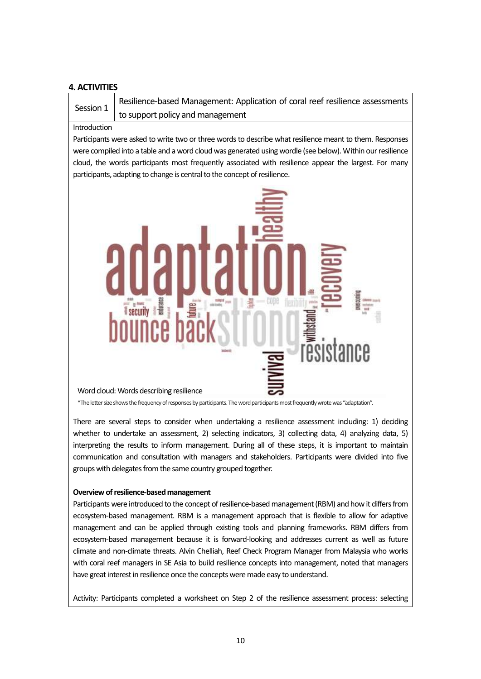#### **4. ACTIVITIES**

Session 1 Resilience-based Management: Application of coral reef resilience assessments to support policy and management

#### Introduction

Participants were asked to write two or three words to describe what resilience meant to them. Responses were compiled into a table and a word cloud was generated using wordle (see below). Within our resilience cloud, the words participants most frequently associated with resilience appear the largest. For many participants, adapting to change is central to the concept of resilience.



\*The letter size shows the frequency of responses by participants. The word participants most frequently wrote was "adaptation".

There are several steps to consider when undertaking a resilience assessment including: 1) deciding whether to undertake an assessment, 2) selecting indicators, 3) collecting data, 4) analyzing data, 5) interpreting the results to inform management. During all of these steps, it is important to maintain communication and consultation with managers and stakeholders. Participants were divided into five groups with delegates from the same country grouped together.

#### **Overview of resilience-based management**

Participants were introduced to the concept of resilience-based management (RBM) and how it differs from ecosystem-based management. RBM is a management approach that is flexible to allow for adaptive management and can be applied through existing tools and planning frameworks. RBM differs from ecosystem-based management because it is forward-looking and addresses current as well as future climate and non-climate threats. Alvin Chelliah, Reef Check Program Manager from Malaysia who works with coral reef managers in SE Asia to build resilience concepts into management, noted that managers have great interest in resilience once the concepts were made easy to understand.

Activity: Participants completed a worksheet on Step 2 of the resilience assessment process: selecting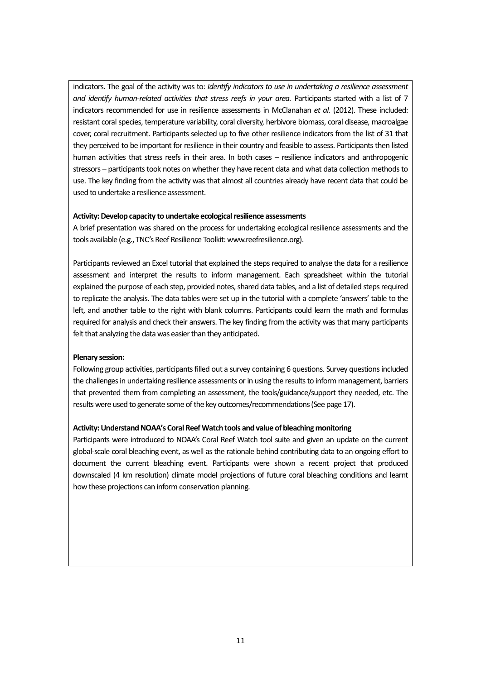indicators. The goal of the activity was to: *Identify indicators to use in undertaking a resilience assessment and identify human-related activities that stress reefs in your area. Participants started with a list of 7* indicators recommended for use in resilience assessments in McClanahan *et al.* (2012). These included: resistant coral species, temperature variability, coral diversity, herbivore biomass, coral disease, macroalgae cover, coral recruitment. Participants selected up to five other resilience indicators from the list of 31 that they perceived to be important for resilience in their country and feasible to assess. Participants then listed human activities that stress reefs in their area. In both cases – resilience indicators and anthropogenic stressors – participants took notes on whether they have recent data and what data collection methods to use. The key finding from the activity was that almost all countries already have recent data that could be used to undertake a resilience assessment.

#### Activity: Develop capacity to undertake ecological resilience assessments

A brief presentation was shared on the process for undertaking ecological resilience assessments and the tools available (e.g., TNC's Reef Resilience Toolkit: www.reefresilience.org).

Participants reviewed an Excel tutorial that explained the steps required to analyse the data for a resilience assessment and interpret the results to inform management. Each spreadsheet within the tutorial explained the purpose of each step, provided notes, shared data tables, and a list of detailed steps required to replicate the analysis. The data tables were set up in the tutorial with a complete 'answers' table to the left, and another table to the right with blank columns. Participants could learn the math and formulas required for analysis and check their answers. The key finding from the activity was that many participants felt that analyzing the data was easier than they anticipated.

#### **Plenary session:**

Following group activities, participants filled out a survey containing 6 questions. Survey questions included the challenges in undertaking resilience assessments or in using the results to inform management, barriers that prevented them from completing an assessment, the tools/guidance/support they needed, etc. The results were used to generate some of the key outcomes/recommendations(See page 17).

#### **Activity:Understand NOAA's Coral Reef Watch tools and value of bleaching monitoring**

Participants were introduced to NOAA's Coral Reef Watch tool suite and given an update on the current global-scale coral bleaching event, as well asthe rationale behind contributing data to an ongoing effort to document the current bleaching event. Participants were shown a recent project that produced downscaled (4 km resolution) climate model projections of future coral bleaching conditions and learnt how these projections can inform conservation planning.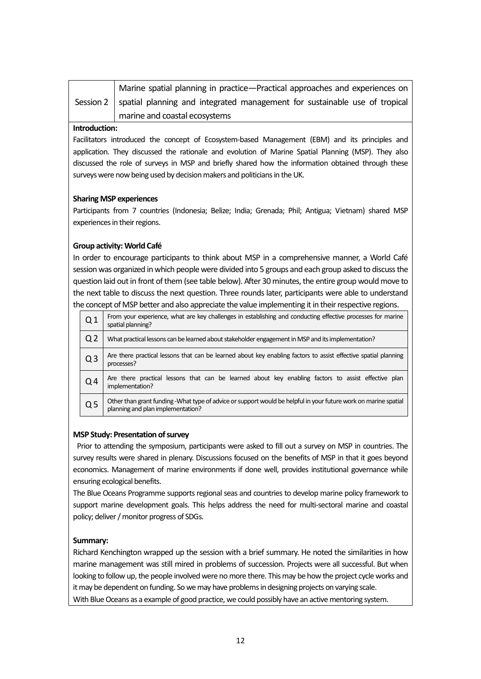| Marine spatial planning in practice—Practical approaches and experiences on            |
|----------------------------------------------------------------------------------------|
| Session $2$ spatial planning and integrated management for sustainable use of tropical |
| marine and coastal ecosystems                                                          |

#### **Introduction:**

Facilitators introduced the concept of Ecosystem-based Management (EBM) and its principles and application. They discussed the rationale and evolution of Marine Spatial Planning (MSP). They also discussed the role of surveys in MSP and briefly shared how the information obtained through these surveys were now being used by decision makers and politicians in the UK.

#### **Sharing MSP experiences**

Participants from 7 countries (Indonesia; Belize; India; Grenada; Phil; Antigua; Vietnam) shared MSP experiences in their regions.

#### **Group activity: World Café**

In order to encourage participants to think about MSP in a comprehensive manner, a World Café session was organized in which people were divided into 5 groups and each group asked to discuss the question laid out in front of them (see table below). After 30 minutes, the entire group would move to the next table to discuss the next question. Three rounds later, participants were able to understand the concept of MSP better and also appreciate the value implementing it in their respective regions.

| Q <sub>1</sub> | From your experience, what are key challenges in establishing and conducting effective processes for marine<br>spatial planning?                     |
|----------------|------------------------------------------------------------------------------------------------------------------------------------------------------|
| Q <sub>2</sub> | What practical lessons can be learned about stakeholder engagement in MSP and its implementation?                                                    |
| Q <sub>3</sub> | Are there practical lessons that can be learned about key enabling factors to assist effective spatial planning<br>processes?                        |
| Q <sub>4</sub> | Are there practical lessons that can be learned about key enabling factors to assist effective plan<br>implementation?                               |
| Q <sub>5</sub> | Other than grant funding -What type of advice or support would be helpful in your future work on marine spatial<br>planning and plan implementation? |

#### **MSP Study: Presentation of survey**

Prior to attending the symposium, participants were asked to fill out a survey on MSP in countries. The survey results were shared in plenary. Discussions focused on the benefits of MSP in that it goes beyond economics. Management of marine environments if done well, provides institutional governance while ensuring ecological benefits.

The Blue Oceans Programme supports regional seas and countries to develop marine policy framework to support marine development goals. This helps address the need for multi-sectoral marine and coastal policy; deliver / monitor progress of SDGs.

#### **Summary:**

Richard Kenchington wrapped up the session with a brief summary. He noted the similarities in how marine management was still mired in problems of succession. Projects were all successful. But when looking to follow up, the people involved were no more there. This may be how the project cycle works and it may be dependent on funding. So we may have problems in designing projects on varying scale. With Blue Oceans as a example of good practice, we could possibly have an active mentoring system.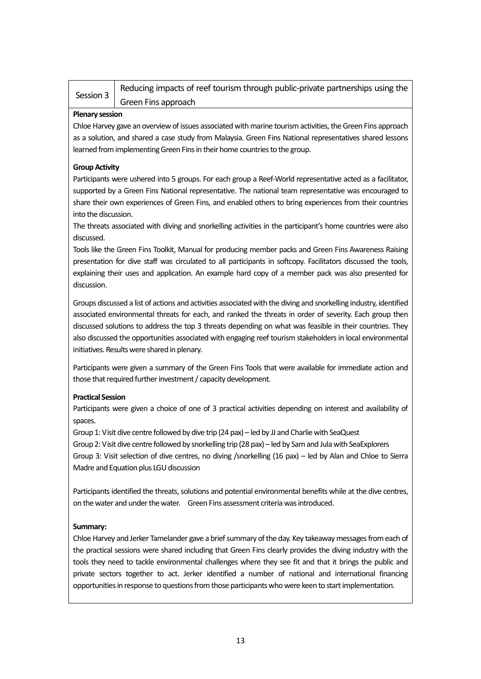| Session 3 | Reducing impacts of reef tourism through public-private partnerships using the |
|-----------|--------------------------------------------------------------------------------|
|           | Green Fins approach                                                            |

#### **Plenary session**

Chloe Harvey gave an overview of issues associated with marine tourism activities, the Green Fins approach as a solution, and shared a case study from Malaysia. Green Fins National representatives shared lessons learned from implementing Green Fins in their home countries to the group.

#### **Group Activity**

Participants were ushered into 5 groups. For each group a Reef-World representative acted as a facilitator, supported by a Green Fins National representative. The national team representative was encouraged to share their own experiences of Green Fins, and enabled others to bring experiences from their countries into the discussion.

The threats associated with diving and snorkelling activities in the participant's home countries were also discussed.

Tools like the Green Fins Toolkit, Manual for producing member packs and Green Fins Awareness Raising presentation for dive staff was circulated to all participants in softcopy. Facilitators discussed the tools, explaining their uses and application. An example hard copy of a member pack was also presented for discussion.

Groups discussed a list of actions and activities associated with the diving and snorkelling industry, identified associated environmental threats for each, and ranked the threats in order of severity. Each group then discussed solutions to address the top 3 threats depending on what was feasible in their countries. They also discussed the opportunities associated with engaging reef tourism stakeholders in local environmental initiatives. Results were shared in plenary.

Participants were given a summary of the Green Fins Tools that were available for immediate action and those that required further investment / capacity development.

#### **Practical Session**

Participants were given a choice of one of 3 practical activities depending on interest and availability of spaces.

Group 1: Visit dive centre followed by dive trip (24 pax) – led by JJ and Charlie with SeaQuest Group 2: Visit dive centre followed by snorkelling trip (28 pax) – led by Sam and Jula with SeaExplorers Group 3: Visit selection of dive centres, no diving /snorkelling (16 pax) – led by Alan and Chloe to Sierra Madre and Equation plus LGU discussion

Participants identified the threats, solutions and potential environmental benefits while at the dive centres, on the water and under the water. Green Fins assessment criteria was introduced.

#### **Summary:**

Chloe Harvey and Jerker Tamelander gave a brief summary of the day. Key takeaway messages from each of the practical sessions were shared including that Green Fins clearly provides the diving industry with the tools they need to tackle environmental challenges where they see fit and that it brings the public and private sectors together to act. Jerker identified a number of national and international financing opportunities in response to questions from those participants who were keen to start implementation.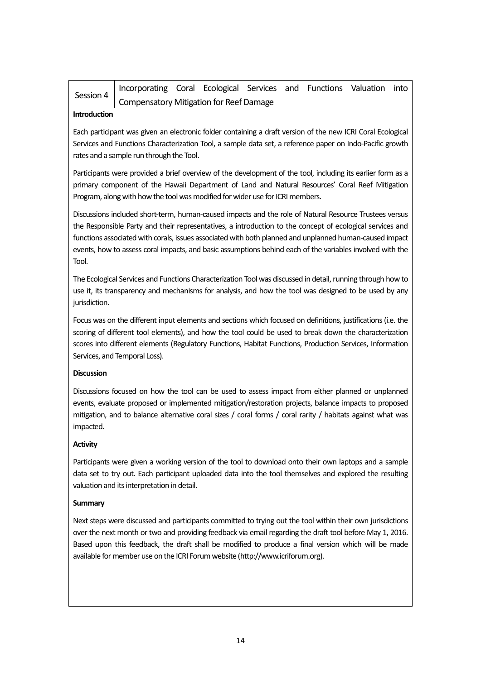| Session 4   Incorporating Coral Ecological Services and Functions Valuation Inco- |  |  |  |  |
|-----------------------------------------------------------------------------------|--|--|--|--|
| Compensatory Mitigation for Reef Damage                                           |  |  |  |  |

#### **Introduction**

Each participant was given an electronic folder containing a draft version of the new ICRI Coral Ecological Services and Functions Characterization Tool, a sample data set, a reference paper on Indo-Pacific growth rates and a sample run through the Tool.

Participants were provided a brief overview of the development of the tool, including its earlier form as a primary component of the Hawaii Department of Land and Natural Resources' Coral Reef Mitigation Program, along with how the tool was modified for wider use for ICRI members.

Discussions included short-term, human-caused impacts and the role of Natural Resource Trustees versus the Responsible Party and their representatives, a introduction to the concept of ecological services and functions associated with corals, issues associated with both planned and unplanned human-caused impact events, how to assess coral impacts, and basic assumptions behind each of the variables involved with the Tool.

The Ecological Services and Functions Characterization Tool was discussed in detail, running through how to use it, its transparency and mechanisms for analysis, and how the tool was designed to be used by any jurisdiction.

Focus was on the different input elements and sections which focused on definitions, justifications (i.e. the scoring of different tool elements), and how the tool could be used to break down the characterization scores into different elements (Regulatory Functions, Habitat Functions, Production Services, Information Services, and Temporal Loss).

#### **Discussion**

Discussions focused on how the tool can be used to assess impact from either planned or unplanned events, evaluate proposed or implemented mitigation/restoration projects, balance impacts to proposed mitigation, and to balance alternative coral sizes / coral forms / coral rarity / habitats against what was impacted.

#### **Activity**

Participants were given a working version of the tool to download onto their own laptops and a sample data set to try out. Each participant uploaded data into the tool themselves and explored the resulting valuation and its interpretation in detail.

#### **Summary**

Next steps were discussed and participants committed to trying out the tool within their own jurisdictions over the next month or two and providing feedback via email regarding the draft tool before May 1, 2016. Based upon this feedback, the draft shall be modified to produce a final version which will be made available for member use on the ICRI Forum website (http://www.icriforum.org).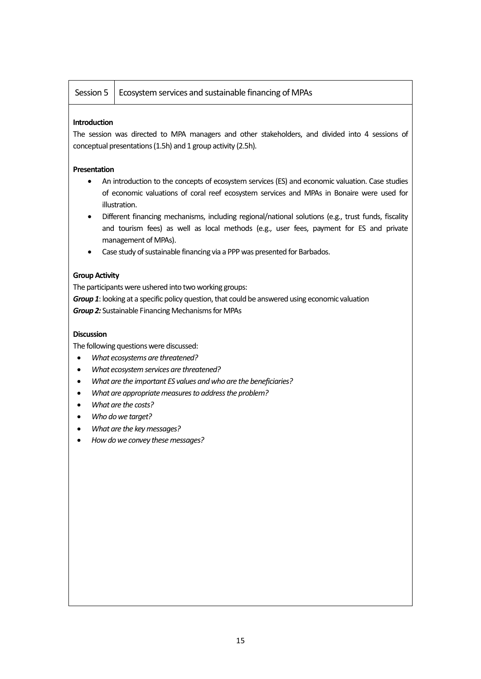#### Session  $5 \mid$  Ecosystem services and sustainable financing of MPAs

#### **Introduction**

The session was directed to MPA managers and other stakeholders, and divided into 4 sessions of conceptual presentations (1.5h) and 1 group activity (2.5h).

#### **Presentation**

- An introduction to the concepts of ecosystem services (ES) and economic valuation. Case studies of economic valuations of coral reef ecosystem services and MPAs in Bonaire were used for illustration.
- Different financing mechanisms, including regional/national solutions (e.g., trust funds, fiscality and tourism fees) as well as local methods (e.g., user fees, payment for ES and private management of MPAs).
- Case study of sustainable financing via a PPP was presented for Barbados.

#### **Group Activity**

The participants were ushered into two working groups:

*Group 1*: looking at a specific policy question, that could be answered using economic valuation *Group 2:* Sustainable Financing Mechanisms for MPAs

#### **Discussion**

The following questions were discussed:

- *What ecosystems are threatened?*
- *What ecosystem services are threatened?*
- *What are the important ES values and who are the beneficiaries?*
- *What are appropriate measures to address the problem?*
- *What are the costs?*
- *Who do we target?*
- *What are the key messages?*
- *How do we convey these messages?*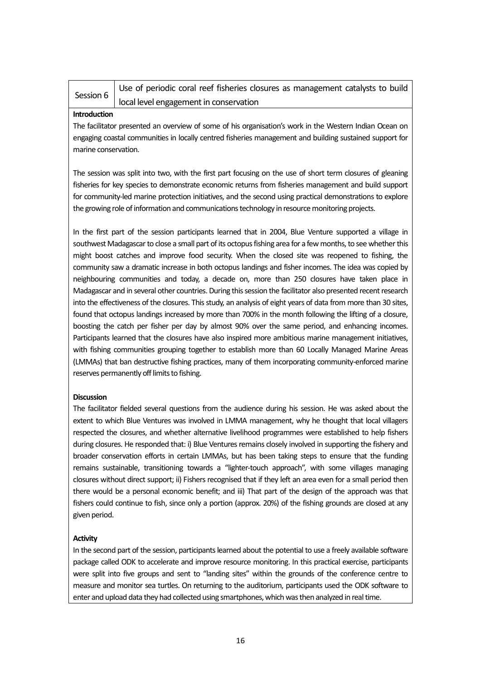| Session 6 | Use of periodic coral reef fisheries closures as management catalysts to build |
|-----------|--------------------------------------------------------------------------------|
|           | local level engagement in conservation                                         |

#### **Introduction**

The facilitator presented an overview of some of his organisation's work in the Western Indian Ocean on engaging coastal communities in locally centred fisheries management and building sustained support for marine conservation.

The session was split into two, with the first part focusing on the use of short term closures of gleaning fisheries for key species to demonstrate economic returns from fisheries management and build support for community-led marine protection initiatives, and the second using practical demonstrations to explore the growing role of information and communications technology in resource monitoring projects.

In the first part of the session participants learned that in 2004, Blue Venture supported a village in southwest Madagascar to close a small part of its octopus fishing area for a few months, to see whether this might boost catches and improve food security. When the closed site was reopened to fishing, the community saw a dramatic increase in both octopus landings and fisher incomes. The idea was copied by neighbouring communities and today, a decade on, more than 250 closures have taken place in Madagascar and in several other countries. During this session the facilitator also presented recent research into the effectiveness of the closures. This study, an analysis of eight years of data from more than 30 sites, found that octopus landings increased by more than 700% in the month following the lifting of a closure, boosting the catch per fisher per day by almost 90% over the same period, and enhancing incomes. Participants learned that the closures have also inspired more ambitious marine management initiatives, with fishing communities grouping together to establish more than 60 Locally Managed Marine Areas (LMMAs) that ban destructive fishing practices, many of them incorporating community-enforced marine reserves permanently off limits to fishing.

#### **Discussion**

The facilitator fielded several questions from the audience during his session. He was asked about the extent to which Blue Ventures was involved in LMMA management, why he thought that local villagers respected the closures, and whether alternative livelihood programmes were established to help fishers during closures. He responded that: i) Blue Ventures remains closely involved in supporting the fishery and broader conservation efforts in certain LMMAs, but has been taking steps to ensure that the funding remains sustainable, transitioning towards a "lighter-touch approach", with some villages managing closures without direct support; ii) Fishers recognised that if they left an area even for a small period then there would be a personal economic benefit; and iii) That part of the design of the approach was that fishers could continue to fish, since only a portion (approx. 20%) of the fishing grounds are closed at any given period.

#### **Activity**

In the second part of the session, participants learned about the potential to use a freely available software package called ODK to accelerate and improve resource monitoring. In this practical exercise, participants were split into five groups and sent to "landing sites" within the grounds of the conference centre to measure and monitor sea turtles. On returning to the auditorium, participants used the ODK software to enter and upload data they had collected using smartphones, which was then analyzed in real time.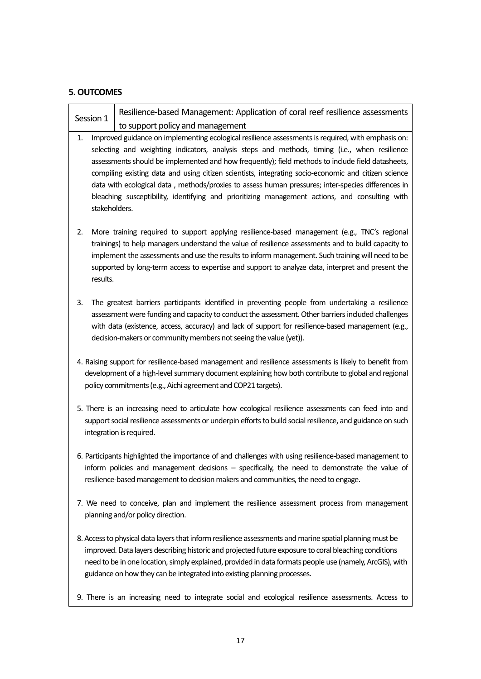#### **5. OUTCOMES**

| Session 1 |               | Resilience-based Management: Application of coral reef resilience assessments                                                                                                                                                                                                                                                                                                                                                                                                                                                                                                                                            |
|-----------|---------------|--------------------------------------------------------------------------------------------------------------------------------------------------------------------------------------------------------------------------------------------------------------------------------------------------------------------------------------------------------------------------------------------------------------------------------------------------------------------------------------------------------------------------------------------------------------------------------------------------------------------------|
|           |               | to support policy and management                                                                                                                                                                                                                                                                                                                                                                                                                                                                                                                                                                                         |
| 1.        |               | Improved guidance on implementing ecological resilience assessments is required, with emphasis on:<br>selecting and weighting indicators, analysis steps and methods, timing (i.e., when resilience<br>assessments should be implemented and how frequently); field methods to include field datasheets,<br>compiling existing data and using citizen scientists, integrating socio-economic and citizen science<br>data with ecological data, methods/proxies to assess human pressures; inter-species differences in<br>bleaching susceptibility, identifying and prioritizing management actions, and consulting with |
|           | stakeholders. |                                                                                                                                                                                                                                                                                                                                                                                                                                                                                                                                                                                                                          |
| 2.        |               | More training required to support applying resilience-based management (e.g., TNC's regional<br>trainings) to help managers understand the value of resilience assessments and to build capacity to                                                                                                                                                                                                                                                                                                                                                                                                                      |

- implement the assessments and use the results to inform management. Such training will need to be supported by long-term access to expertise and support to analyze data, interpret and present the results.
- 3. The greatest barriers participants identified in preventing people from undertaking a resilience assessment were funding and capacity to conduct the assessment. Other barriers included challenges with data (existence, access, accuracy) and lack of support for resilience-based management (e.g., decision-makers or community members not seeing the value (yet)).
- 4. Raising support for resilience-based management and resilience assessments is likely to benefit from development of a high-level summary document explaining how both contribute to global and regional policy commitments (e.g., Aichi agreement and COP21 targets).
- 5. There is an increasing need to articulate how ecological resilience assessments can feed into and support social resilience assessments or underpin efforts to build social resilience, and guidance on such integration is required.
- 6. Participants highlighted the importance of and challenges with using resilience-based management to inform policies and management decisions – specifically, the need to demonstrate the value of resilience-based management to decision makers and communities, the need to engage.
- 7. We need to conceive, plan and implement the resilience assessment process from management planning and/or policy direction.
- 8. Access to physical data layers that inform resilience assessments and marine spatial planning must be improved. Data layers describing historic and projected future exposure to coral bleaching conditions need to be in one location, simply explained, provided in data formats people use (namely, ArcGIS), with guidance on how they can be integrated into existing planning processes.
- 9. There is an increasing need to integrate social and ecological resilience assessments. Access to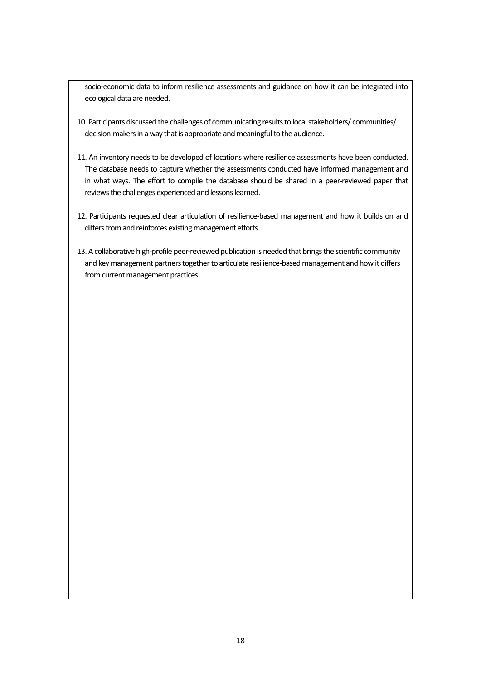socio-economic data to inform resilience assessments and guidance on how it can be integrated into ecological data are needed.

- 10. Participants discussed the challenges of communicating results to local stakeholders/ communities/ decision-makers in a way that is appropriate and meaningful to the audience.
- 11. An inventory needs to be developed of locations where resilience assessments have been conducted. The database needs to capture whether the assessments conducted have informed management and in what ways. The effort to compile the database should be shared in a peer-reviewed paper that reviews the challenges experienced and lessons learned.
- 12. Participants requested clear articulation of resilience-based management and how it builds on and differs from and reinforces existing management efforts.
- 13. A collaborative high-profile peer-reviewed publication is needed that brings the scientific community and key management partners together to articulate resilience-based management and how it differs from current management practices.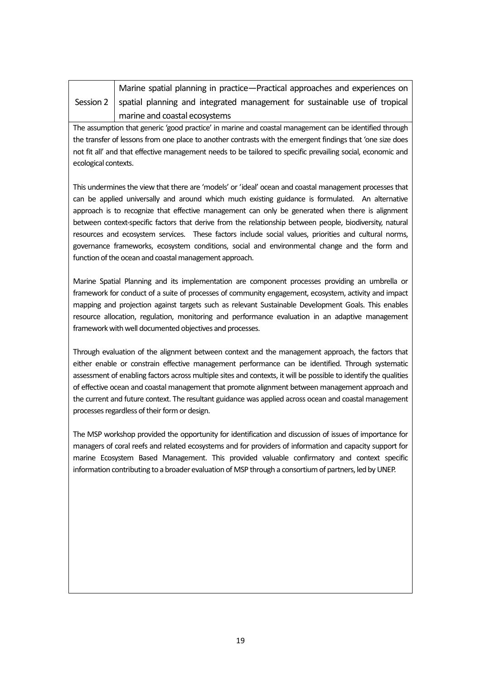| Marine spatial planning in practice-Practical approaches and experiences on            |
|----------------------------------------------------------------------------------------|
| Session 2   spatial planning and integrated management for sustainable use of tropical |

management for sustainable use of tropical marine and coastal ecosystems The assumption that generic 'good practice' in marine and coastal management can be identified through

the transfer of lessons from one place to another contrasts with the emergent findings that 'one size does not fit all' and that effective management needs to be tailored to specific prevailing social, economic and ecological contexts.

This undermines the view that there are 'models' or 'ideal' ocean and coastal management processes that can be applied universally and around which much existing guidance is formulated. An alternative approach is to recognize that effective management can only be generated when there is alignment between context-specific factors that derive from the relationship between people, biodiversity, natural resources and ecosystem services. These factors include social values, priorities and cultural norms, governance frameworks, ecosystem conditions, social and environmental change and the form and function of the ocean and coastal management approach.

Marine Spatial Planning and its implementation are component processes providing an umbrella or framework for conduct of a suite of processes of community engagement, ecosystem, activity and impact mapping and projection against targets such as relevant Sustainable Development Goals. This enables resource allocation, regulation, monitoring and performance evaluation in an adaptive management framework with well documented objectives and processes.

Through evaluation of the alignment between context and the management approach, the factors that either enable or constrain effective management performance can be identified. Through systematic assessment of enabling factors across multiple sites and contexts, it will be possible to identify the qualities of effective ocean and coastal management that promote alignment between management approach and the current and future context. The resultant guidance was applied across ocean and coastal management processes regardless of their form or design.

The MSP workshop provided the opportunity for identification and discussion of issues of importance for managers of coral reefs and related ecosystems and for providers of information and capacity support for marine Ecosystem Based Management. This provided valuable confirmatory and context specific information contributing to a broader evaluation of MSP through a consortium of partners, led by UNEP.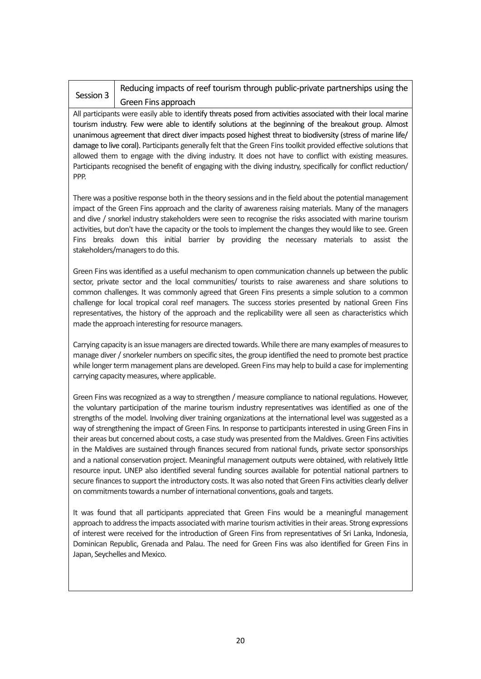#### Session 3

### Reducing impacts of reef tourism through public-private partnerships using the Green Fins approach

All participants were easily able to identify threats posed from activities associated with their local marine tourism industry. Few were able to identify solutions at the beginning of the breakout group. Almost unanimous agreement that direct diver impacts posed highest threat to biodiversity (stress of marine life/ damage to live coral). Participants generally felt that the Green Fins toolkit provided effective solutions that allowed them to engage with the diving industry. It does not have to conflict with existing measures. Participants recognised the benefit of engaging with the diving industry, specifically for conflict reduction/ PPP.

There was a positive response both in the theory sessions and in the field about the potential management impact of the Green Fins approach and the clarity of awareness raising materials. Many of the managers and dive / snorkel industry stakeholders were seen to recognise the risks associated with marine tourism activities, but don't have the capacity or the tools to implement the changes they would like to see. Green Fins breaks down this initial barrier by providing the necessary materials to assist the stakeholders/managers to do this.

Green Fins was identified as a useful mechanism to open communication channels up between the public sector, private sector and the local communities/ tourists to raise awareness and share solutions to common challenges. It was commonly agreed that Green Fins presents a simple solution to a common challenge for local tropical coral reef managers. The success stories presented by national Green Fins representatives, the history of the approach and the replicability were all seen as characteristics which made the approach interesting for resource managers.

Carrying capacity is an issue managers are directed towards. While there are many examples of measures to manage diver / snorkeler numbers on specific sites, the group identified the need to promote best practice while longer term management plans are developed. Green Fins may help to build a case for implementing carrying capacity measures, where applicable.

Green Fins was recognized as a way to strengthen / measure compliance to national regulations. However, the voluntary participation of the marine tourism industry representatives was identified as one of the strengths of the model. Involving diver training organizations at the international level was suggested as a way of strengthening the impact of Green Fins. In response to participants interested in using Green Fins in their areas but concerned about costs, a case study was presented from the Maldives. Green Fins activities in the Maldives are sustained through finances secured from national funds, private sector sponsorships and a national conservation project. Meaningful management outputs were obtained, with relatively little resource input. UNEP also identified several funding sources available for potential national partners to secure finances to support the introductory costs. It was also noted that Green Fins activities clearly deliver on commitments towards a number of international conventions, goals and targets.

It was found that all participants appreciated that Green Fins would be a meaningful management approach to address the impacts associated with marine tourism activities in their areas. Strong expressions of interest were received for the introduction of Green Fins from representatives of Sri Lanka, Indonesia, Dominican Republic, Grenada and Palau. The need for Green Fins was also identified for Green Fins in Japan, Seychelles and Mexico.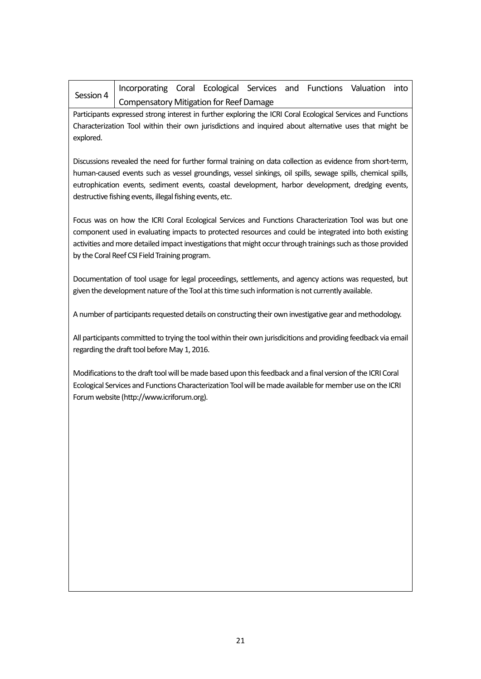| Session 4                                                                                                                                                                                                                                                                                                                                                                                 | Incorporating Coral Ecological Services and Functions Valuation<br>into                                                                                                                                                                                                                                                                                                        |  |  |  |  |  |
|-------------------------------------------------------------------------------------------------------------------------------------------------------------------------------------------------------------------------------------------------------------------------------------------------------------------------------------------------------------------------------------------|--------------------------------------------------------------------------------------------------------------------------------------------------------------------------------------------------------------------------------------------------------------------------------------------------------------------------------------------------------------------------------|--|--|--|--|--|
|                                                                                                                                                                                                                                                                                                                                                                                           | <b>Compensatory Mitigation for Reef Damage</b>                                                                                                                                                                                                                                                                                                                                 |  |  |  |  |  |
| Participants expressed strong interest in further exploring the ICRI Coral Ecological Services and Functions<br>Characterization Tool within their own jurisdictions and inquired about alternative uses that might be<br>explored.                                                                                                                                                       |                                                                                                                                                                                                                                                                                                                                                                                |  |  |  |  |  |
| Discussions revealed the need for further formal training on data collection as evidence from short-term,<br>human-caused events such as vessel groundings, vessel sinkings, oil spills, sewage spills, chemical spills,<br>eutrophication events, sediment events, coastal development, harbor development, dredging events,<br>destructive fishing events, illegal fishing events, etc. |                                                                                                                                                                                                                                                                                                                                                                                |  |  |  |  |  |
|                                                                                                                                                                                                                                                                                                                                                                                           | Focus was on how the ICRI Coral Ecological Services and Functions Characterization Tool was but one<br>component used in evaluating impacts to protected resources and could be integrated into both existing<br>activities and more detailed impact investigations that might occur through trainings such as those provided<br>by the Coral Reef CSI Field Training program. |  |  |  |  |  |
|                                                                                                                                                                                                                                                                                                                                                                                           | Documentation of tool usage for legal proceedings, settlements, and agency actions was requested, but<br>given the development nature of the Tool at this time such information is not currently available.                                                                                                                                                                    |  |  |  |  |  |
|                                                                                                                                                                                                                                                                                                                                                                                           | A number of participants requested details on constructing their own investigative gear and methodology.                                                                                                                                                                                                                                                                       |  |  |  |  |  |
|                                                                                                                                                                                                                                                                                                                                                                                           | All participants committed to trying the tool within their own jurisdicitions and providing feedback via email<br>regarding the draft tool before May 1, 2016.                                                                                                                                                                                                                 |  |  |  |  |  |
| Modifications to the draft tool will be made based upon this feedback and a final version of the ICRI Coral<br>Ecological Services and Functions Characterization Tool will be made available for member use on the ICRI<br>Forum website (http://www.icriforum.org).                                                                                                                     |                                                                                                                                                                                                                                                                                                                                                                                |  |  |  |  |  |
|                                                                                                                                                                                                                                                                                                                                                                                           |                                                                                                                                                                                                                                                                                                                                                                                |  |  |  |  |  |
|                                                                                                                                                                                                                                                                                                                                                                                           |                                                                                                                                                                                                                                                                                                                                                                                |  |  |  |  |  |
|                                                                                                                                                                                                                                                                                                                                                                                           |                                                                                                                                                                                                                                                                                                                                                                                |  |  |  |  |  |
|                                                                                                                                                                                                                                                                                                                                                                                           |                                                                                                                                                                                                                                                                                                                                                                                |  |  |  |  |  |
|                                                                                                                                                                                                                                                                                                                                                                                           |                                                                                                                                                                                                                                                                                                                                                                                |  |  |  |  |  |
|                                                                                                                                                                                                                                                                                                                                                                                           |                                                                                                                                                                                                                                                                                                                                                                                |  |  |  |  |  |
|                                                                                                                                                                                                                                                                                                                                                                                           |                                                                                                                                                                                                                                                                                                                                                                                |  |  |  |  |  |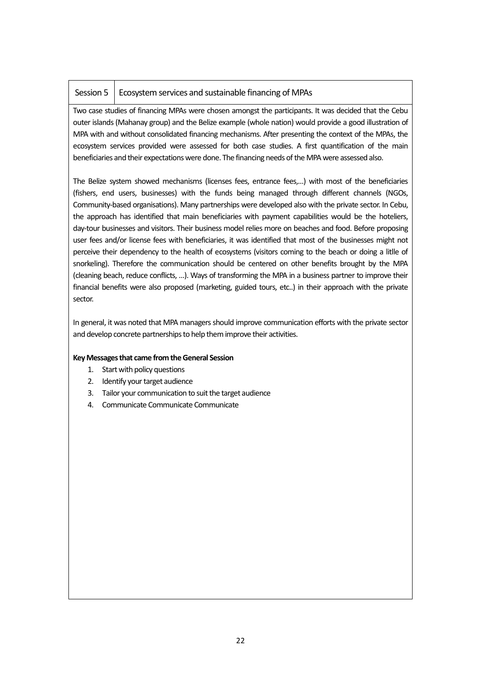#### Session 5 | Ecosystem services and sustainable financing of MPAs

Two case studies of financing MPAs were chosen amongst the participants. It was decided that the Cebu outer islands (Mahanay group) and the Belize example (whole nation) would provide a good illustration of MPA with and without consolidated financing mechanisms. After presenting the context of the MPAs, the ecosystem services provided were assessed for both case studies. A first quantification of the main beneficiaries and their expectations were done. The financing needs of the MPA were assessed also.

The Belize system showed mechanisms (licenses fees, entrance fees,…) with most of the beneficiaries (fishers, end users, businesses) with the funds being managed through different channels (NGOs, Community-based organisations). Many partnerships were developed also with the private sector. In Cebu, the approach has identified that main beneficiaries with payment capabilities would be the hoteliers, day-tour businesses and visitors. Their business model relies more on beaches and food. Before proposing user fees and/or license fees with beneficiaries, it was identified that most of the businesses might not perceive their dependency to the health of ecosystems (visitors coming to the beach or doing a litlle of snorkeling). Therefore the communication should be centered on other benefits brought by the MPA (cleaning beach, reduce conflicts, …). Ways of transforming the MPA in a business partner to improve their financial benefits were also proposed (marketing, guided tours, etc..) in their approach with the private sector.

In general, it was noted that MPA managers should improve communication efforts with the private sector and develop concrete partnerships to help them improve their activities.

#### **Key Messages that came from the General Session**

- 1. Start with policy questions
- 2. Identify your target audience
- 3. Tailor your communication to suit the target audience
- 4. Communicate Communicate Communicate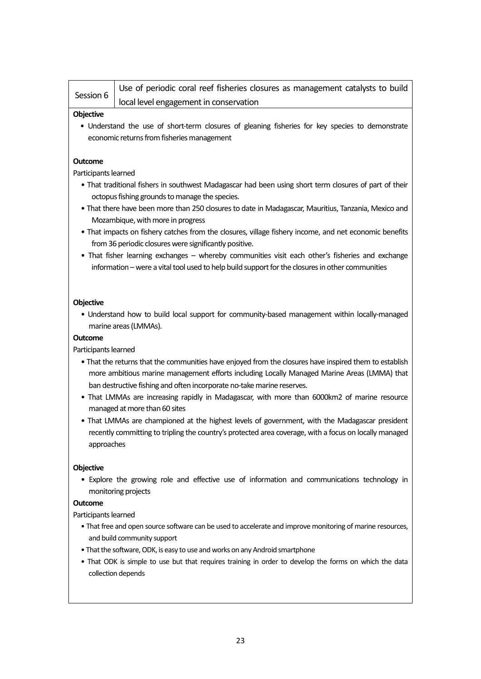| Session 6                              | Use of periodic coral reef fisheries closures as management catalysts to build |
|----------------------------------------|--------------------------------------------------------------------------------|
| local level engagement in conservation |                                                                                |

#### **Objective**

• Understand the use of short-term closures of gleaning fisheries for key species to demonstrate economic returns from fisheries management

#### **Outcome**

Participants learned

- That traditional fishers in southwest Madagascar had been using short term closures of part of their octopus fishing grounds to manage the species.
- That there have been more than 250 closures to date in Madagascar, Mauritius, Tanzania, Mexico and Mozambique, with more in progress
- That impacts on fishery catches from the closures, village fishery income, and net economic benefits from 36 periodic closures were significantly positive.
- That fisher learning exchanges whereby communities visit each other's fisheries and exchange information –were a vital tool used to help build support for the closures in other communities

#### **Objective**

• Understand how to build local support for community-based management within locally-managed marine areas (LMMAs).

#### **Outcome**

#### Participants learned

- That the returns that the communities have enjoyed from the closures have inspired them to establish more ambitious marine management efforts including Locally Managed Marine Areas (LMMA) that ban destructive fishing and often incorporate no-take marine reserves.
- That LMMAs are increasing rapidly in Madagascar, with more than 6000km2 of marine resource managed at more than 60 sites
- That LMMAs are championed at the highest levels of government, with the Madagascar president recently committing to tripling the country's protected area coverage, with a focus on locally managed approaches

#### **Objective**

• Explore the growing role and effective use of information and communications technology in monitoring projects

#### **Outcome**

Participants learned

- That free and open source software can be used to accelerate and improve monitoring of marine resources, and build community support
- That the software, ODK, is easy to use and works on any Android smartphone
- That ODK is simple to use but that requires training in order to develop the forms on which the data collection depends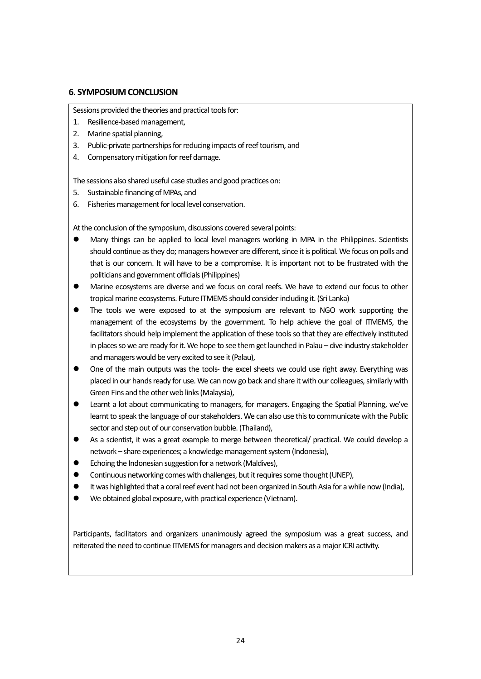#### **6. SYMPOSIUM CONCLUSION**

Sessions provided the theories and practical tools for:

- 1. Resilience-based management,
- 2. Marine spatial planning,
- 3. Public-private partnerships for reducing impacts of reef tourism, and
- 4. Compensatory mitigation for reef damage.

The sessions also shared useful case studies and good practices on:

- 5. Sustainable financing of MPAs, and
- 6. Fisheries management for local level conservation.

At the conclusion of the symposium, discussions covered several points:

- Many things can be applied to local level managers working in MPA in the Philippines. Scientists should continue as they do; managers however are different, since it is political. We focus on polls and that is our concern. It will have to be a compromise. It is important not to be frustrated with the politicians and government officials (Philippines)
- Marine ecosystems are diverse and we focus on coral reefs. We have to extend our focus to other tropical marine ecosystems. Future ITMEMS should consider including it. (Sri Lanka)
- The tools we were exposed to at the symposium are relevant to NGO work supporting the management of the ecosystems by the government. To help achieve the goal of ITMEMS, the facilitators should help implement the application of these tools so that they are effectively instituted in places so we are ready for it. We hope to see them get launched in Palau – dive industry stakeholder and managers would be very excited to see it (Palau),
- One of the main outputs was the tools- the excel sheets we could use right away. Everything was placed in our hands ready for use. We can now go back and share it with our colleagues, similarly with Green Fins and the other web links (Malaysia),
- Learnt a lot about communicating to managers, for managers. Engaging the Spatial Planning, we've learnt to speak the language of our stakeholders. We can also use this to communicate with the Public sector and step out of our conservation bubble. (Thailand),
- As a scientist, it was a great example to merge between theoretical/ practical. We could develop a network – share experiences; a knowledge management system (Indonesia),
- Echoing the Indonesian suggestion for a network (Maldives),
- Continuous networking comes with challenges, but it requires some thought (UNEP).
- It was highlighted that a coral reef event had not been organized in South Asia for a while now (India),
- We obtained global exposure, with practical experience (Vietnam).

Participants, facilitators and organizers unanimously agreed the symposium was a great success, and reiterated the need to continue ITMEMS for managers and decision makers as a major ICRI activity.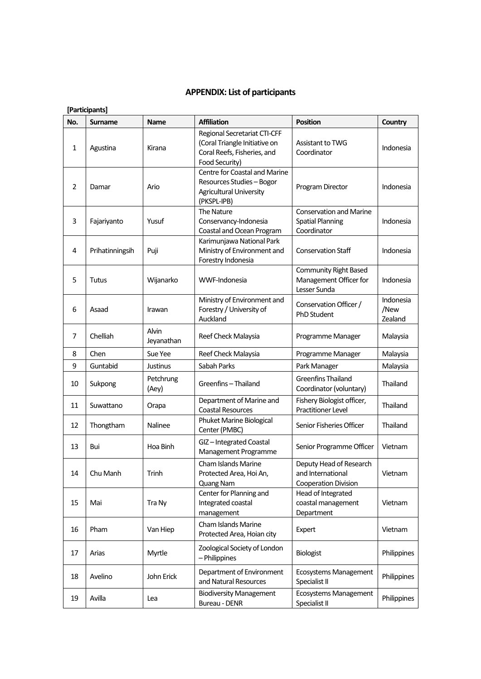#### **APPENDIX: List of participants**

|              | [Participants]  |                     |                                                                                                                       |                                                                             |                              |  |  |
|--------------|-----------------|---------------------|-----------------------------------------------------------------------------------------------------------------------|-----------------------------------------------------------------------------|------------------------------|--|--|
| No.          | <b>Surname</b>  | <b>Name</b>         | <b>Affiliation</b>                                                                                                    | <b>Position</b>                                                             | Country                      |  |  |
| $\mathbf{1}$ | Agustina        | Kirana              | <b>Regional Secretariat CTI-CFF</b><br>(Coral Triangle Initiative on<br>Coral Reefs, Fisheries, and<br>Food Security) | Assistant to TWG<br>Coordinator                                             | Indonesia                    |  |  |
| 2            | Damar           | Ario                | Centre for Coastal and Marine<br>Resources Studies - Bogor<br><b>Agricultural University</b><br>(PKSPL-IPB)           | Program Director                                                            | Indonesia                    |  |  |
| 3            | Fajariyanto     | Yusuf               | The Nature<br>Conservancy-Indonesia<br>Coastal and Ocean Program                                                      | <b>Conservation and Marine</b><br><b>Spatial Planning</b><br>Coordinator    | Indonesia                    |  |  |
| 4            | Prihatinningsih | Puji                | Karimunjawa National Park<br>Ministry of Environment and<br>Forestry Indonesia                                        | <b>Conservation Staff</b>                                                   | Indonesia                    |  |  |
| 5            | <b>Tutus</b>    | Wijanarko           | WWF-Indonesia                                                                                                         | Community Right Based<br>Management Officer for<br>Lesser Sunda             | Indonesia                    |  |  |
| 6            | Asaad           | Irawan              | Ministry of Environment and<br>Forestry / University of<br>Auckland                                                   | Conservation Officer /<br><b>PhD Student</b>                                | Indonesia<br>/New<br>Zealand |  |  |
| 7            | Chelliah        | Alvin<br>Jeyanathan | Reef Check Malaysia                                                                                                   | Programme Manager                                                           | Malaysia                     |  |  |
| 8            | Chen            | Sue Yee             | Reef Check Malaysia                                                                                                   | Programme Manager                                                           | Malaysia                     |  |  |
| 9            | Guntabid        | Justinus            | Sabah Parks                                                                                                           | Park Manager                                                                | Malaysia                     |  |  |
| 10           | Sukpong         | Petchrung<br>(Aey)  | Greenfins-Thailand                                                                                                    | <b>Greenfins Thailand</b><br>Coordinator (voluntary)                        | Thailand                     |  |  |
| 11           | Suwattano       | Orapa               | Department of Marine and<br><b>Coastal Resources</b>                                                                  | Fishery Biologist officer,<br>Practitioner Level                            | Thailand                     |  |  |
| 12           | Thongtham       | Nalinee             | Phuket Marine Biological<br>Center (PMBC)                                                                             | Senior Fisheries Officer                                                    | Thailand                     |  |  |
| 13           | Bui             | Hoa Binh            | GIZ-Integrated Coastal<br>Management Programme                                                                        | Senior Programme Officer                                                    | Vietnam                      |  |  |
| 14           | Chu Manh        | Trinh               | Cham Islands Marine<br>Protected Area, Hoi An,<br>Quang Nam                                                           | Deputy Head of Research<br>and International<br><b>Cooperation Division</b> | Vietnam                      |  |  |
| 15           | Mai             | Tra Ny              | Center for Planning and<br>Integrated coastal<br>management                                                           | Head of Integrated<br>coastal management<br>Department                      | Vietnam                      |  |  |
| 16           | Pham            | Van Hiep            | Cham Islands Marine<br>Protected Area, Hoian city                                                                     | Expert                                                                      | Vietnam                      |  |  |
| 17           | Arias           | Myrtle              | Zoological Society of London<br>- Philippines                                                                         | Biologist                                                                   | Philippines                  |  |  |
| 18           | Avelino         | John Erick          | Department of Environment<br>and Natural Resources                                                                    | <b>Ecosystems Management</b><br>Specialist II                               | Philippines                  |  |  |
| 19           | Avilla          | Lea                 | <b>Biodiversity Management</b><br>Bureau - DENR                                                                       | <b>Ecosystems Management</b><br>Specialist II                               | Philippines                  |  |  |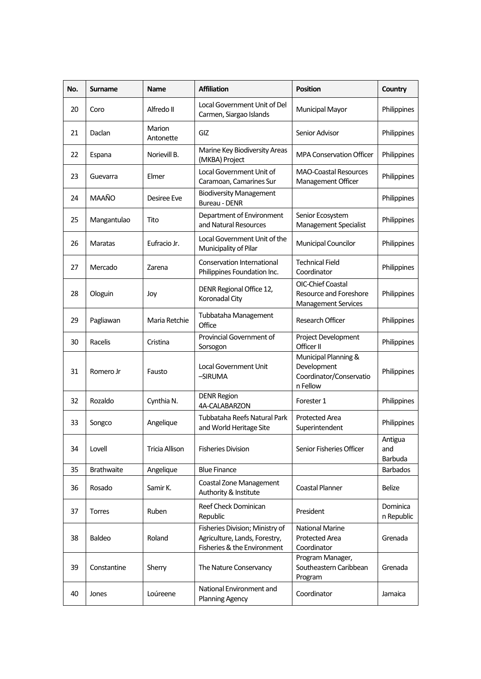| No. | <b>Surname</b>    | <b>Name</b>         | <b>Affiliation</b>                                                                              | <b>Position</b>                                                                  | Country                   |
|-----|-------------------|---------------------|-------------------------------------------------------------------------------------------------|----------------------------------------------------------------------------------|---------------------------|
| 20  | Coro              | Alfredo II          | Local Government Unit of Del<br>Carmen, Siargao Islands                                         | Municipal Mayor                                                                  | Philippines               |
| 21  | Daclan            | Marion<br>Antonette | GIZ                                                                                             | Senior Advisor                                                                   | Philippines               |
| 22  | Espana            | Norievill B.        | Marine Key Biodiversity Areas<br>(MKBA) Project                                                 | <b>MPA Conservation Officer</b>                                                  | Philippines               |
| 23  | Guevarra          | Elmer               | Local Government Unit of<br>Caramoan, Camarines Sur                                             | <b>MAO-Coastal Resources</b><br>Management Officer                               | Philippines               |
| 24  | <b>MAAÑO</b>      | Desiree Eve         | <b>Biodiversity Management</b><br>Bureau - DENR                                                 |                                                                                  | Philippines               |
| 25  | Mangantulao       | Tito                | Department of Environment<br>and Natural Resources                                              | Senior Ecosystem<br>Management Specialist                                        | Philippines               |
| 26  | Maratas           | Eufracio Jr.        | Local Government Unit of the<br>Municipality of Pilar                                           | Municipal Councilor                                                              | Philippines               |
| 27  | Mercado           | Zarena              | Conservation International<br>Philippines Foundation Inc.                                       | <b>Technical Field</b><br>Coordinator                                            | Philippines               |
| 28  | Ologuin           | Joy                 | DENR Regional Office 12,<br>Koronadal City                                                      | <b>OIC-Chief Coastal</b><br>Resource and Foreshore<br><b>Management Services</b> | Philippines               |
| 29  | Pagliawan         | Maria Retchie       | Tubbataha Management<br>Office                                                                  | Research Officer                                                                 | Philippines               |
| 30  | Racelis           | Cristina            | Provincial Government of<br>Sorsogon                                                            | Project Development<br>Officer II                                                | Philippines               |
| 31  | Romero Jr         | Fausto              | <b>Local Government Unit</b><br>-SIRUMA                                                         | Municipal Planning &<br>Development<br>Coordinator/Conservatio<br>n Fellow       | Philippines               |
| 32  | Rozaldo           | Cynthia N.          | <b>DENR Region</b><br>4A-CALABARZON                                                             | Forester 1                                                                       | Philippines               |
| 33  | Songco            | Angelique           | Tubbataha Reefs Natural Park<br>and World Heritage Site                                         | <b>Protected Area</b><br>Superintendent                                          | Philippines               |
| 34  | Lovell            | Tricia Allison      | <b>Fisheries Division</b>                                                                       | Senior Fisheries Officer                                                         | Antigua<br>and<br>Barbuda |
| 35  | <b>Brathwaite</b> | Angelique           | <b>Blue Finance</b>                                                                             |                                                                                  | <b>Barbados</b>           |
| 36  | Rosado            | Samir K.            | <b>Coastal Zone Management</b><br>Authority & Institute                                         | <b>Coastal Planner</b>                                                           | <b>Belize</b>             |
| 37  | <b>Torres</b>     | Ruben               | Reef Check Dominican<br>Republic                                                                | President                                                                        | Dominica<br>n Republic    |
| 38  | Baldeo            | Roland              | Fisheries Division; Ministry of<br>Agriculture, Lands, Forestry,<br>Fisheries & the Environment | <b>National Marine</b><br>Protected Area<br>Coordinator                          | Grenada                   |
| 39  | Constantine       | Sherry              | The Nature Conservancy                                                                          | Program Manager,<br>Southeastern Caribbean<br>Program                            | Grenada                   |
| 40  | Jones             | Loúreene            | National Environment and<br><b>Planning Agency</b>                                              | Coordinator                                                                      | Jamaica                   |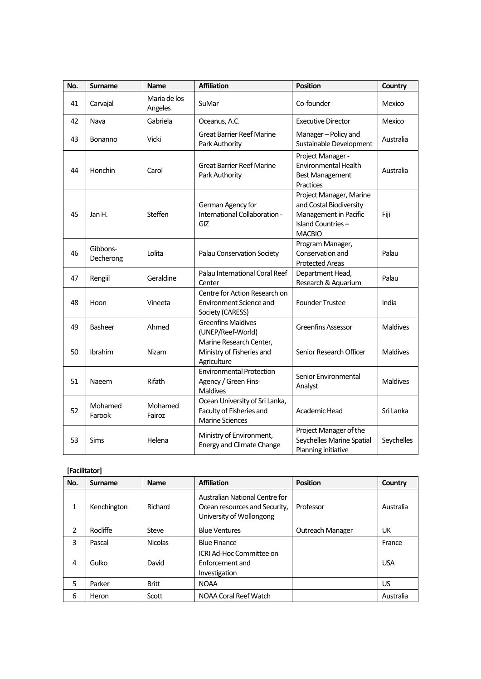| No. | Surname               | <b>Name</b>             | <b>Affiliation</b>                                                                  | <b>Position</b>                                                                                                   | Country         |
|-----|-----------------------|-------------------------|-------------------------------------------------------------------------------------|-------------------------------------------------------------------------------------------------------------------|-----------------|
| 41  | Carvajal              | Maria de los<br>Angeles | SuMar                                                                               | Co-founder                                                                                                        | Mexico          |
| 42  | Nava                  | Gabriela                | Oceanus, A.C.                                                                       | <b>Executive Director</b>                                                                                         | Mexico          |
| 43  | Bonanno               | Vicki                   | <b>Great Barrier Reef Marine</b><br>Park Authority                                  | Manager-Policy and<br>Sustainable Development                                                                     | Australia       |
| 44  | Honchin               | Carol                   | <b>Great Barrier Reef Marine</b><br>Park Authority                                  | Project Manager -<br>Environmental Health<br><b>Best Management</b><br>Practices                                  | Australia       |
| 45  | Jan H.                | Steffen                 | German Agency for<br>International Collaboration -<br>GIZ                           | Project Manager, Marine<br>and Costal Biodiversity<br>Management in Pacific<br>Island Countries-<br><b>MACBIO</b> | Fiji            |
| 46  | Gibbons-<br>Decherong | Lolita                  | Palau Conservation Society                                                          | Program Manager,<br>Conservation and<br><b>Protected Areas</b>                                                    | Palau           |
| 47  | Rengiil               | Geraldine               | Palau International Coral Reef<br>Center                                            | Department Head,<br>Research & Aquarium                                                                           | Palau           |
| 48  | Hoon                  | Vineeta                 | Centre for Action Research on<br><b>Environment Science and</b><br>Society (CARESS) | <b>Founder Trustee</b>                                                                                            | India           |
| 49  | Basheer               | Ahmed                   | <b>Greenfins Maldives</b><br>(UNEP/Reef-World)                                      | <b>Greenfins Assessor</b>                                                                                         | <b>Maldives</b> |
| 50  | Ibrahim               | <b>Nizam</b>            | Marine Research Center,<br>Ministry of Fisheries and<br>Agriculture                 | Senior Research Officer                                                                                           | <b>Maldives</b> |
| 51  | Naeem                 | Rifath                  | <b>Environmental Protection</b><br>Agency / Green Fins-<br>Maldives                 | Senior Environmental<br>Analyst                                                                                   | <b>Maldives</b> |
| 52  | Mohamed<br>Farook     | Mohamed<br>Fairoz       | Ocean University of Sri Lanka,<br>Faculty of Fisheries and<br>Marine Sciences       | Academic Head                                                                                                     | Sri Lanka       |
| 53  | Sims                  | Helena                  | Ministry of Environment,<br><b>Energy and Climate Change</b>                        | Project Manager of the<br>Seychelles Marine Spatial<br>Planning initiative                                        | Seychelles      |

#### **[Facilitator]**

| No.           | Surname     | <b>Name</b>    | <b>Affiliation</b>                                                                          | <b>Position</b>  | Country    |
|---------------|-------------|----------------|---------------------------------------------------------------------------------------------|------------------|------------|
| 1             | Kenchington | Richard        | Australian National Centre for<br>Ocean resources and Security,<br>University of Wollongong | Professor        | Australia  |
| $\mathcal{P}$ | Rocliffe    | Steve          | <b>Blue Ventures</b>                                                                        | Outreach Manager | UK         |
| 3             | Pascal      | <b>Nicolas</b> | <b>Blue Finance</b>                                                                         |                  | France     |
| 4             | Gulko       | David          | ICRI Ad-Hoc Committee on<br>Enforcement and<br>Investigation                                |                  | <b>USA</b> |
| 5             | Parker      | <b>Britt</b>   | <b>NOAA</b>                                                                                 |                  | US         |
| 6             | Heron       | Scott          | NOAA Coral Reef Watch                                                                       |                  | Australia  |